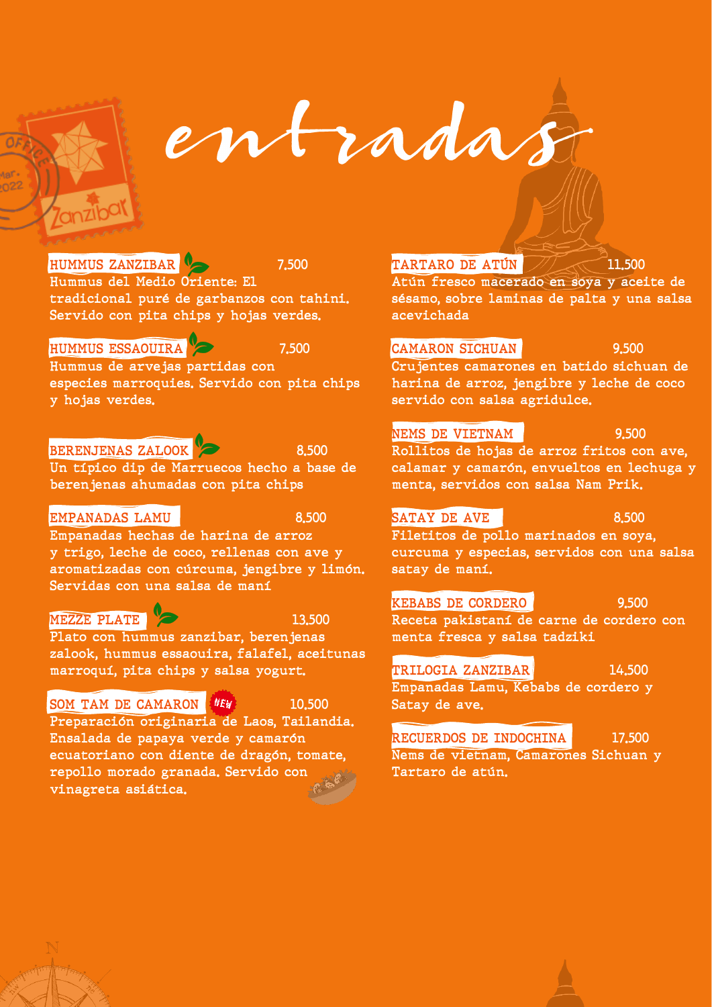entradas

## **HUMMUS ZANZIBAR 7.500**

Hummus del Medio Oriente: El tradicional puré de garbanzos con tahini. Servido con pita chips y hojas verdes.

### **HUMMUS ESSAOUIRA 7.500**

Hummus de arvejas partidas con especies marroquies. Servido con pita chips y hojas verdes.

## **BERENJENAS ZALOOK 8.500**

Un típico dip de Marruecos hecho a base de berenjenas ahumadas con pita chips

### **EMPANADAS LAMU** 8.500

Empanadas hechas de harina de arroz y trigo, leche de coco, rellenas con ave y aromatizadas con cúrcuma, jengibre y limón. Servidas con una salsa de maní

## **MEZZE PLATE** 2 2 13,500

Plato con hummus zanzibar, berenjenas zalook, hummus essaouira, falafel, aceitunas marroquí, pita chips y salsa yogurt.

## SOM TAM DE CAMARON **NEW** 10.500

Preparación originaria de Laos, Tailandia. Ensalada de papaya verde y camarón ecuatoriano con diente de dragón, tomate, repollo morado granada. Servido con vinagreta asiática.

### **TARTARO DE ATÚN 11.500**

Atún fresco macerado en soya y aceite de sésamo, sobre laminas de palta y una salsa acevichada

## **CAMARON SICHUAN 9.500**

Crujentes camarones en batido sichuan de harina de arroz, jengibre y leche de coco servido con salsa agridulce.

## **NEMS DE VIETNAM** 9.500

Rollitos de hojas de arroz fritos con ave, calamar y camarón, envueltos en lechuga y menta, servidos con salsa Nam Prik.

## **SATAY DE AVE 8.500**

Filetitos de pollo marinados en soya, curcuma y especias, servidos con una salsa satay de maní.

## **KEBABS DE CORDERO** 8.500

Receta pakistaní de carne de cordero con menta fresca y salsa tadziki

## **TRILOGIA ZANZIBAR** 14.500

Empanadas Lamu, Kebabs de cordero y **Satay de ave.** 

### **RECUERDOS DE INDOCHINA** 17.500 Nems de vietnam, Camarones Sichuan y Tartaro de atún.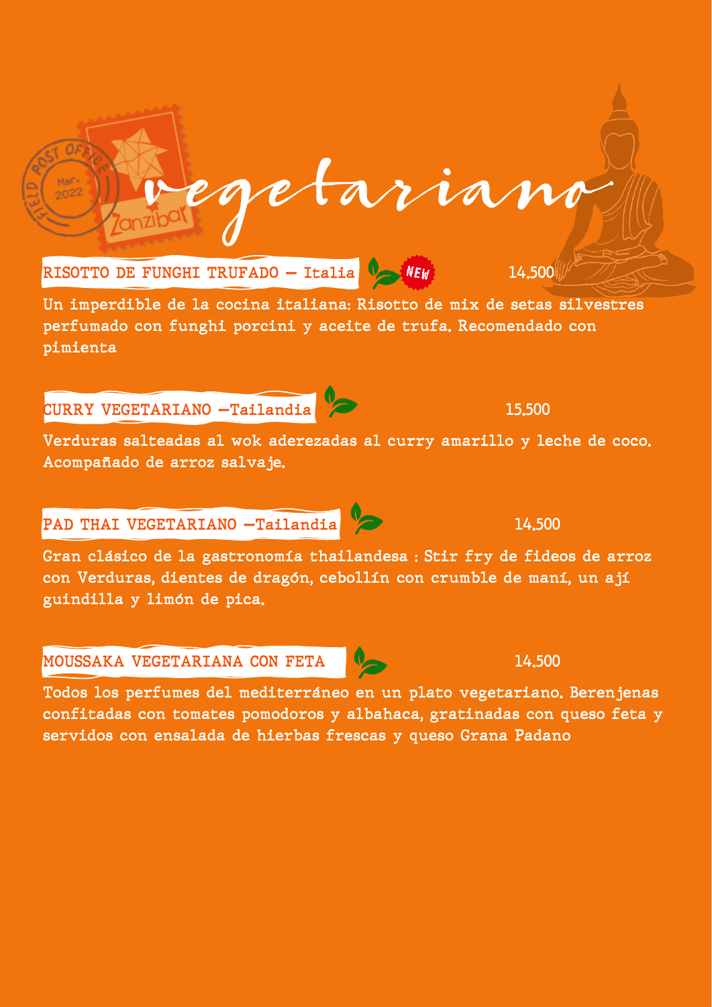

Un imperdible de la cocina italiana: Risotto de mix de setas silvestres perfumado con funghi porcini y aceite de trufa. Recomendado con pimienta

# CURRY VEGETARIANO —Tailandia 15.500

 $Maf$  $20^{22}$ 

Verduras salteadas al wok aderezadas al curry amarillo y leche de coco. Acompañado de arroz salvaje.

# PAD THAI VEGETARIANO —Tailandia 14.500

Gran clásico de la gastronomía thailandesa : Stir fry de fideos de arroz con Verduras, dientes de dragón, cebollín con crumble de maní, un ají guindilla y limón de pica.

## MOUSSAKA VEGETARIANA CON FETA 14.500

Todos los perfumes del mediterráneo en un plato vegetariano. Berenjenas confitadas con tomates pomodoros y albahaca, gratinadas con queso feta y servidos con ensalada de hierbas frescas y queso Grana Padano

getarian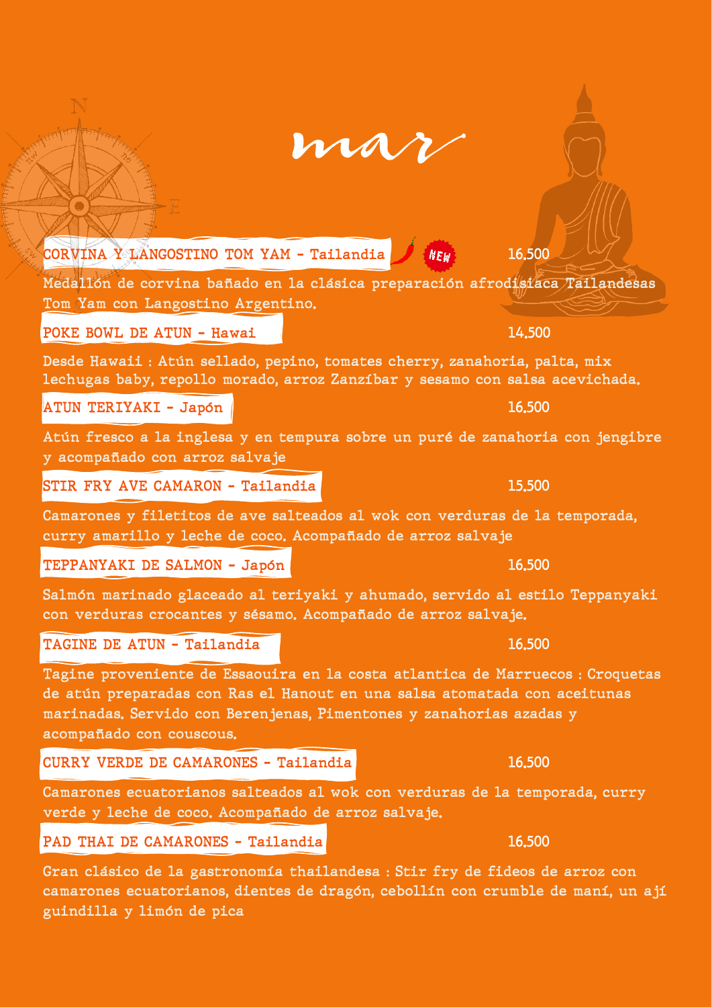| mar |  |  |
|-----|--|--|
|     |  |  |
|     |  |  |

 $CORVINA Y LANGOSTINO TOM YAM - Tailandia$   $NEW$  16.500

Medallón de corvina bañado en la clásica preparación afrodisiaca Tailandesas Tom Yam con Langostino Argentino.

POKE BOWL DE ATUN - Hawai 14.500

Desde Hawaii : Atún sellado, pepino, tomates cherry, zanahoria, palta, mix lechugas baby, repollo morado, arroz Zanzíbar y sesamo con salsa acevichada.

ATUN TERIYAKI – Japón **16.500** ang kalendaryon ng kalendaryon ng kalendaryon ng kalendaryon ng kalendaryon ng ka

Atún fresco a la inglesa y en tempura sobre un puré de zanahoria con jengibre y acompañado con arroz salvaje

Camarones y filetitos de ave salteados al wok con verduras de la temporada,

curry amarillo y leche de coco. Acompañado de arroz salvaje

STIR FRY AVE CAMARON - Tailandia 15.500

TEPPANYAKI DE SALMON - Japón 16.500

Salmón marinado glaceado al teriyaki y ahumado, servido al estilo Teppanyaki con verduras crocantes y sésamo. Acompañado de arroz salvaje.

TAGINE DE ATUN - Tailandia 16.500

Tagine proveniente de Essaouira en la costa atlantica de Marruecos : Croquetas de atún preparadas con Ras el Hanout en una salsa atomatada con aceitunas marinadas. Servido con Berenjenas, Pimentones y zanahorias azadas y acompañado con couscous.

CURRY VERDE DE CAMARONES - Tailandia 16.500

Camarones ecuatorianos salteados al wok con verduras de la temporada, curry verde y leche de coco. Acompañado de arroz salvaje.

## PAD THAI DE CAMARONES - Tailandia 16.500

Gran clásico de la gastronomía thailandesa : Stir fry de fideos de arroz con camarones ecuatorianos, dientes de dragón, cebollín con crumble de maní, un ají guindilla y limón de pica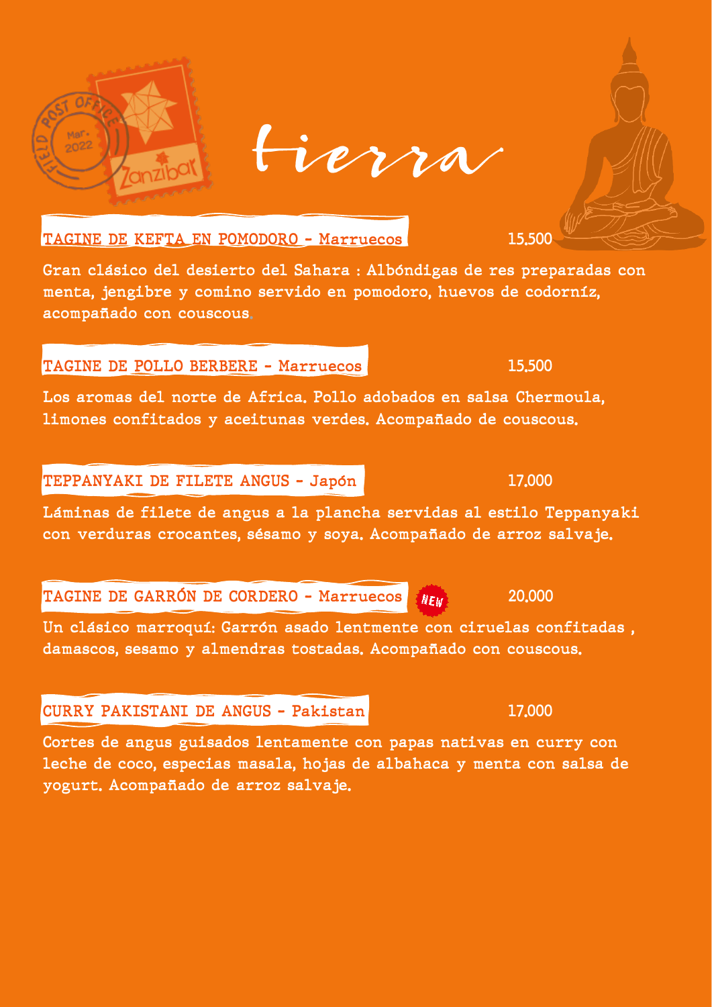

 $Mar$  $2022$ 

Gran clásico del desierto del Sahara : Albóndigas de res preparadas con menta, jengibre y comino servido en pomodoro, huevos de codorníz, acompañado con couscous.

## TAGINE DE POLLO BERBERE - Marruecos 15.500

Los aromas del norte de Africa. Pollo adobados en salsa Chermoula, limones confitados y aceitunas verdes. Acompañado de couscous.

## TEPPANYAKI DE FILETE ANGUS - Japón 17,000

Láminas de filete de angus a la plancha servidas al estilo Teppanyaki con verduras crocantes, sésamo y soya. Acompañado de arroz salvaje.

TAGINE DE GARRÓN DE CORDERO – Marruecos *NEW* 20,000

Un clásico marroquí: Garrón asado lentmente con ciruelas confitadas , damascos, sesamo y almendras tostadas. Acompañado con couscous.

## CURRY PAKISTANI DE ANGUS - Pakistan 17.000

Cortes de angus guisados lentamente con papas nativas en curry con leche de coco, especias masala, hojas de albahaca y menta con salsa de yogurt. Acompañado de arroz salvaje.

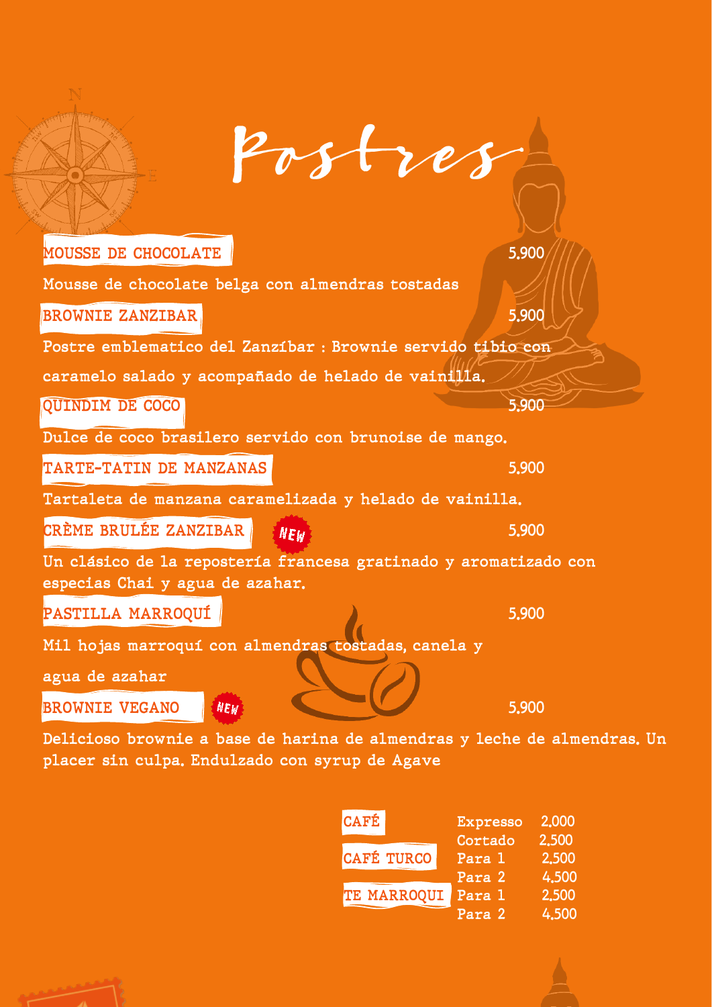| Postres                                                                                             |       |
|-----------------------------------------------------------------------------------------------------|-------|
| <b>MOUSSE DE CHOCOLATE</b>                                                                          | 5.900 |
| Mousse de chocolate belga con almendras tostadas<br><b>BROWNIE ZANZIBAR</b>                         | 5.900 |
| Postre emblematico del Zanzíbar : Brownie servido tibio con                                         |       |
| caramelo salado y acompañado de helado de vainilla.                                                 |       |
| <b>QUINDIM DE COCO</b>                                                                              | 5.900 |
| Dulce de coco brasilero servido con brunoise de mango.                                              |       |
| TARTE-TATIN DE MANZANAS                                                                             | 5.900 |
| Tartaleta de manzana caramelizada y helado de vainilla.                                             |       |
| CRÈME BRULÉE ZANZIBAR<br><b>NEW</b>                                                                 | 5.900 |
| Un clásico de la repostería francesa gratinado y aromatizado con<br>especias Chai y agua de azahar. |       |
| PASTILLA MARROQUÍ                                                                                   | 5.900 |
| Mil hojas marroquí con almendras tostadas, canela y<br>agua de azahar                               |       |
| <b>BROWNIE VEGANO</b><br>$N E_W$                                                                    | 5,900 |

Delicioso brownie a base de harina de almendras y leche de almendras. Un placer sin culpa. Endulzado con syrup de Agave

| <b>CAFÉ</b>       | <b>Expresso</b> | 2,000 |
|-------------------|-----------------|-------|
|                   | Cortado         | 2.500 |
| <b>CAFÉ TURCO</b> | Para 1          | 2.500 |
|                   | Para 2          | 4.500 |
| TE MARROQUI       | Para 1          | 2,500 |
|                   | Para 2          | 4.500 |



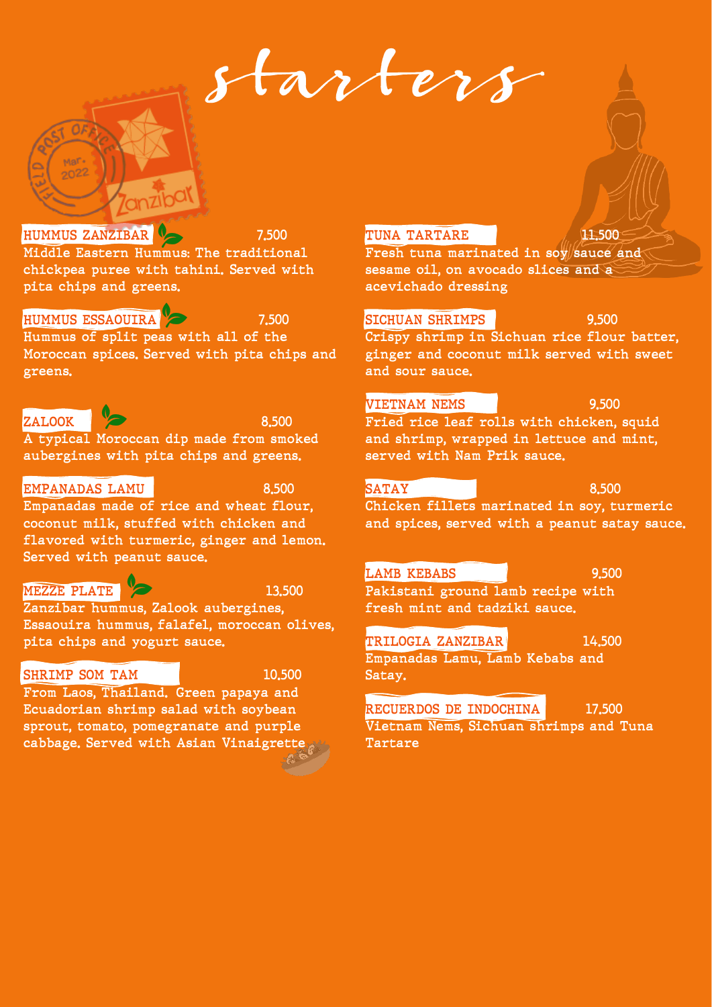starters



#### **HUMMUS ESSAOUIRA 7.500**

 $2022$ 

Hummus of split peas with all of the Moroccan spices. Served with pita chips and greens.

## **ZALOOK 8.500**

A typical Moroccan dip made from smoked aubergines with pita chips and greens.

### **EMPANADAS LAMU** 8.500

Empanadas made of rice and wheat flour, coconut milk, stuffed with chicken and flavored with turmeric, ginger and lemon. Served with peanut sauce.

### **MEZZE PLATE** 2 13,500

Zanzibar hummus, Zalook aubergines, Essaouira hummus, falafel, moroccan olives, pita chips and yogurt sauce.

### SHRIMP SOM TAM **10.500**

From Laos, Thailand. Green papaya and Ecuadorian shrimp salad with soybean sprout, tomato, pomegranate and purple cabbage. Served with Asian Vinaigrette

#### **TUNA TARTARE 11.500**

Fresh tuna marinated in soy sauce and sesame oil, on avocado slices and a acevichado dressing

#### **SICHUAN SHRIMPS** 8.500

Crispy shrimp in Sichuan rice flour batter, ginger and coconut milk served with sweet and sour sauce.

#### **VIETNAM NEMS 9.500**

Fried rice leaf rolls with chicken, squid and shrimp, wrapped in lettuce and mint, served with Nam Prik sauce.

#### **SATAY** 8.500

**Satay.** 

Chicken fillets marinated in soy, turmeric and spices, served with a peanut satay sauce.

#### **LAMB KEBABS** 9.500

Pakistani ground lamb recipe with **fresh mint and tadziki sauce.**

#### **TRILOGIA ZANZIBAR** 14,500

Empanadas Lamu, Lamb Kebabs and

**RECUERDOS DE INDOCHINA** 17,500

Vietnam Nems, Sichuan shrimps and Tuna Tartare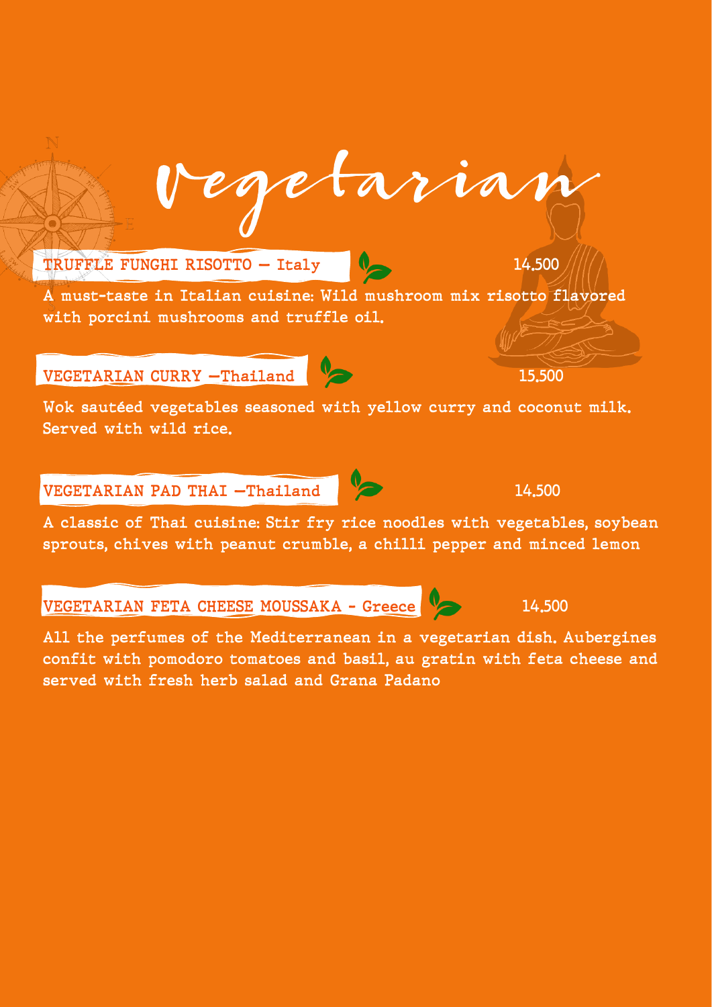

VEGETARIAN FETA CHEESE MOUSSAKA - Greece 14.500

All the perfumes of the Mediterranean in a vegetarian dish. Aubergines confit with pomodoro tomatoes and basil, au gratin with feta cheese and served with fresh herb salad and Grana Padano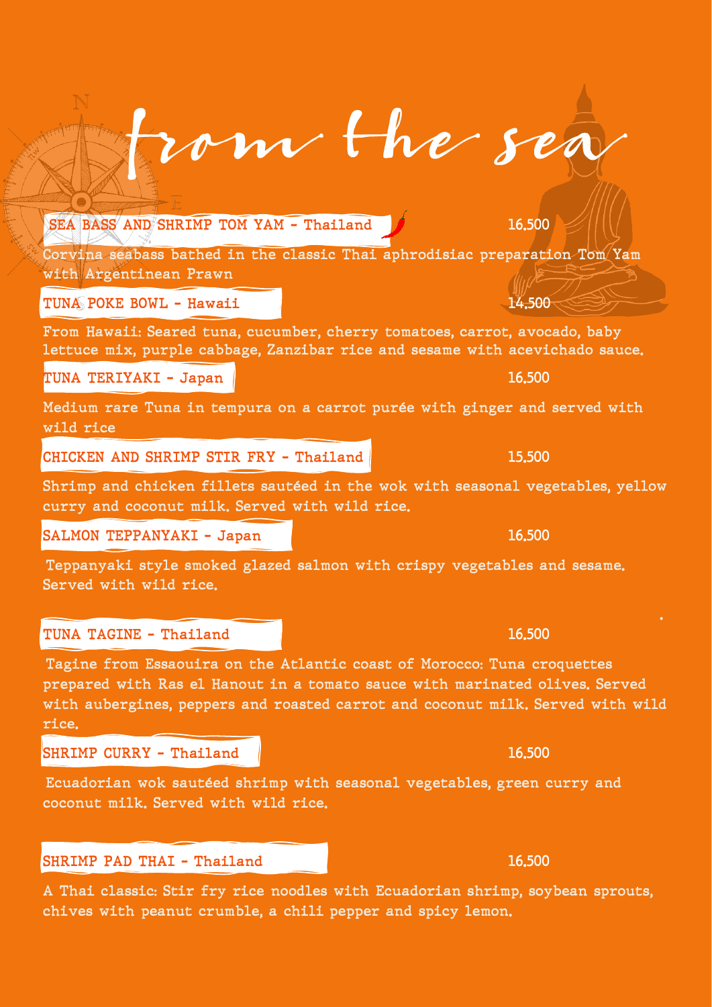SEA BASS AND SHRIMP TOM YAM - Thailand 16.500

Corvina seabass bathed in the classic Thai aphrodisiac preparation Tom Yam with Argentinean Prawn

om the sea

TUNA POKE BOWL - Hawaii 14.500

From Hawaii: Seared tuna, cucumber, cherry tomatoes, carrot, avocado, baby lettuce mix, purple cabbage, Zanzibar rice and sesame with acevichado sauce.

TUNA TERIYAKI – Japan **16.500** and 16.500 and 16.500 and 16.500 and 16.500 and 16.500 and 16.500 and 16.500 and 16.500 and 16.500 and 16.500 and 16.500 and 16.500 and 16.500 and 16.500 and 16.500 and 16.500 and 16.500 and

Medium rare Tuna in tempura on a carrot purée with ginger and served with wild rice

CHICKEN AND SHRIMP STIR FRY - Thailand 15.500

Shrimp and chicken fillets sautéed in the wok with seasonal vegetables, yellow curry and coconut milk. Served with wild rice.

SALMON TEPPANYAKI - Japan 16.500

Teppanyaki style smoked glazed salmon with crispy vegetables and sesame. Served with wild rice.

#### TUNA TAGINE - Thailand 16.500

Tagine from Essaouira on the Atlantic coast of Morocco: Tuna croquettes prepared with Ras el Hanout in a tomato sauce with marinated olives. Served with aubergines, peppers and roasted carrot and coconut milk. Served with wild rice.

<u>. Andre and the second control of the second control of the second control of the second control of the second</u>

SHRIMP CURRY - Thailand 16.500

Ecuadorian wok sautéed shrimp with seasonal vegetables, green curry and coconut milk. Served with wild rice.

## SHRIMP PAD THAI – Thailand 16.500

A Thai classic: Stir fry rice noodles with Ecuadorian shrimp, soybean sprouts, chives with peanut crumble, a chili pepper and spicy lemon.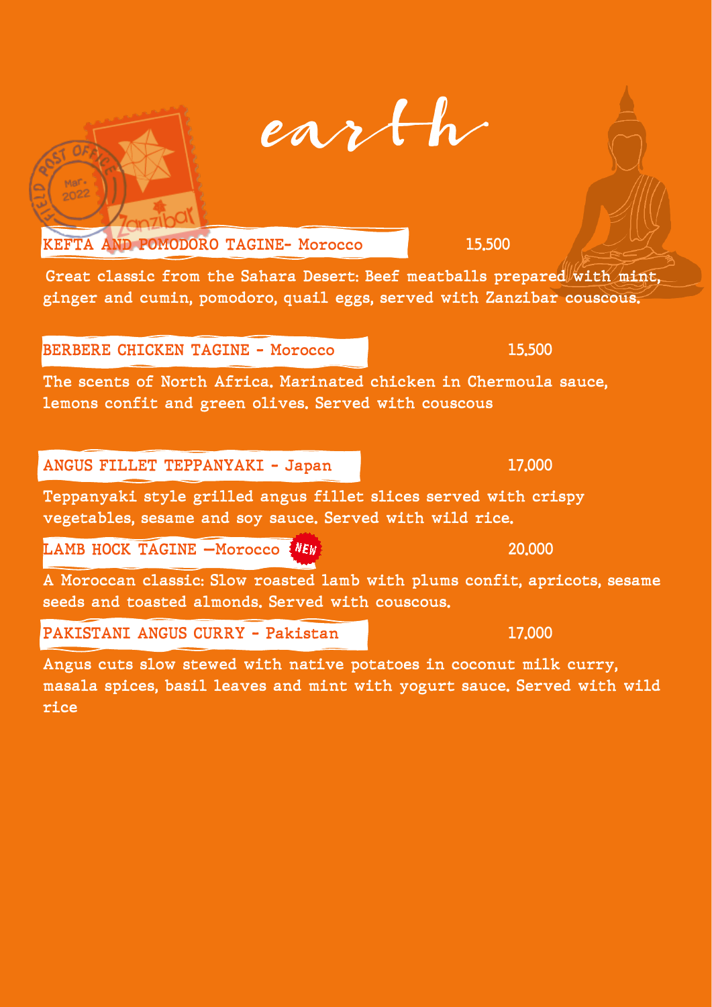| <b>BERBERE CHICKEN TAGINE - Morocco</b>                                                                                       | 15.500 |
|-------------------------------------------------------------------------------------------------------------------------------|--------|
| The scents of North Africa. Marinated chicken in Chermoula sauce,<br>lemons confit and green olives. Served with couscous     |        |
| ANGUS FILLET TEPPANYAKI - Japan                                                                                               | 17,000 |
| Teppanyaki style grilled angus fillet slices served with crispy<br>vegetables, sesame and soy sauce. Served with wild rice.   |        |
| LAMB HOCK TAGINE -Morocco NEW                                                                                                 | 20,000 |
| A Moroccan classic: Slow roasted lamb with plums confit, apricots, sesame<br>seeds and toasted almonds. Served with couscous. |        |
| PAKISTANI ANGUS CURRY - Pakistan                                                                                              | 17,000 |
| Angus cuts slow stewed with native potatoes in coconut milk curry,                                                            |        |

 $O_F$ 

 $M^{\text{B}}$  $^{Mat}_{2022}$ 

Great classic from the Sahara Desert: Beef meatballs prepared with mint, ginger and cumin, pomodoro, quail eggs, served with Zanzibar couscous.

KEFTA AND POMODORO TAGINE- Morocco 15.500

Angus cuts slow stewed with native potatoes in coconut milk curry, masala spices, basil leaves and mint with yogurt sauce. Served with wild rice

earth